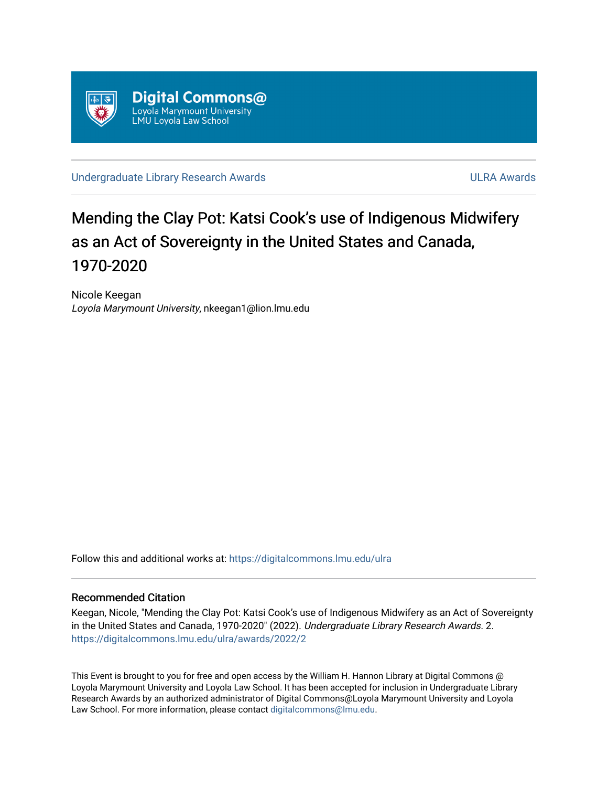

[Undergraduate Library Research Awards](https://digitalcommons.lmu.edu/ulra) **ULRA Awards** ULRA Awards

# Mending the Clay Pot: Katsi Cook's use of Indigenous Midwifery as an Act of Sovereignty in the United States and Canada, 1970-2020

Nicole Keegan Loyola Marymount University, nkeegan1@lion.lmu.edu

Follow this and additional works at: [https://digitalcommons.lmu.edu/ulra](https://digitalcommons.lmu.edu/ulra?utm_source=digitalcommons.lmu.edu%2Fulra%2Fawards%2F2022%2F2&utm_medium=PDF&utm_campaign=PDFCoverPages)

#### Recommended Citation

Keegan, Nicole, "Mending the Clay Pot: Katsi Cook's use of Indigenous Midwifery as an Act of Sovereignty in the United States and Canada, 1970-2020" (2022). Undergraduate Library Research Awards. 2. [https://digitalcommons.lmu.edu/ulra/awards/2022/2](https://digitalcommons.lmu.edu/ulra/awards/2022/2?utm_source=digitalcommons.lmu.edu%2Fulra%2Fawards%2F2022%2F2&utm_medium=PDF&utm_campaign=PDFCoverPages)

This Event is brought to you for free and open access by the William H. Hannon Library at Digital Commons @ Loyola Marymount University and Loyola Law School. It has been accepted for inclusion in Undergraduate Library Research Awards by an authorized administrator of Digital Commons@Loyola Marymount University and Loyola Law School. For more information, please contact [digitalcommons@lmu.edu.](mailto:digitalcommons@lmu.edu)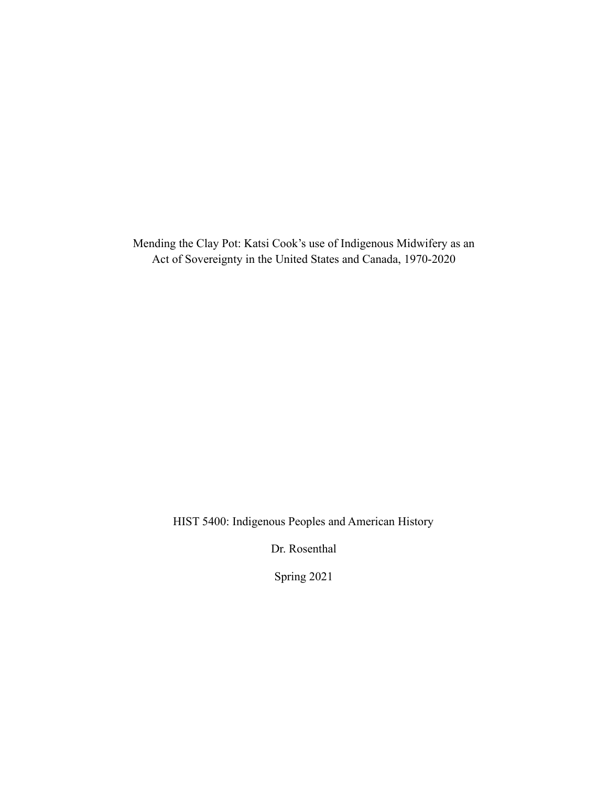Mending the Clay Pot: Katsi Cook's use of Indigenous Midwifery as an Act of Sovereignty in the United States and Canada, 1970-2020

HIST 5400: Indigenous Peoples and American History

Dr. Rosenthal

Spring 2021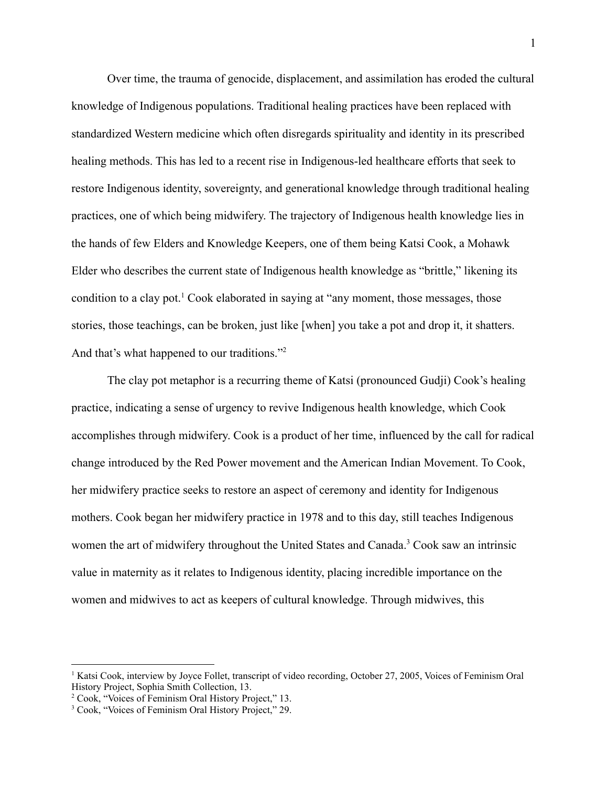Over time, the trauma of genocide, displacement, and assimilation has eroded the cultural knowledge of Indigenous populations. Traditional healing practices have been replaced with standardized Western medicine which often disregards spirituality and identity in its prescribed healing methods. This has led to a recent rise in Indigenous-led healthcare efforts that seek to restore Indigenous identity, sovereignty, and generational knowledge through traditional healing practices, one of which being midwifery. The trajectory of Indigenous health knowledge lies in the hands of few Elders and Knowledge Keepers, one of them being Katsi Cook, a Mohawk Elder who describes the current state of Indigenous health knowledge as "brittle," likening its condition to a clay pot.<sup>1</sup> Cook elaborated in saying at "any moment, those messages, those stories, those teachings, can be broken, just like [when] you take a pot and drop it, it shatters. And that's what happened to our traditions."<sup>2</sup>

The clay pot metaphor is a recurring theme of Katsi (pronounced Gudji) Cook's healing practice, indicating a sense of urgency to revive Indigenous health knowledge, which Cook accomplishes through midwifery. Cook is a product of her time, influenced by the call for radical change introduced by the Red Power movement and the American Indian Movement. To Cook, her midwifery practice seeks to restore an aspect of ceremony and identity for Indigenous mothers. Cook began her midwifery practice in 1978 and to this day, still teaches Indigenous women the art of midwifery throughout the United States and Canada.<sup>3</sup> Cook saw an intrinsic value in maternity as it relates to Indigenous identity, placing incredible importance on the women and midwives to act as keepers of cultural knowledge. Through midwives, this

<sup>&</sup>lt;sup>1</sup> Katsi Cook, interview by Joyce Follet, transcript of video recording, October 27, 2005, Voices of Feminism Oral History Project, Sophia Smith Collection, 13.

<sup>2</sup> Cook, "Voices of Feminism Oral History Project," 13.

<sup>3</sup> Cook, "Voices of Feminism Oral History Project," 29.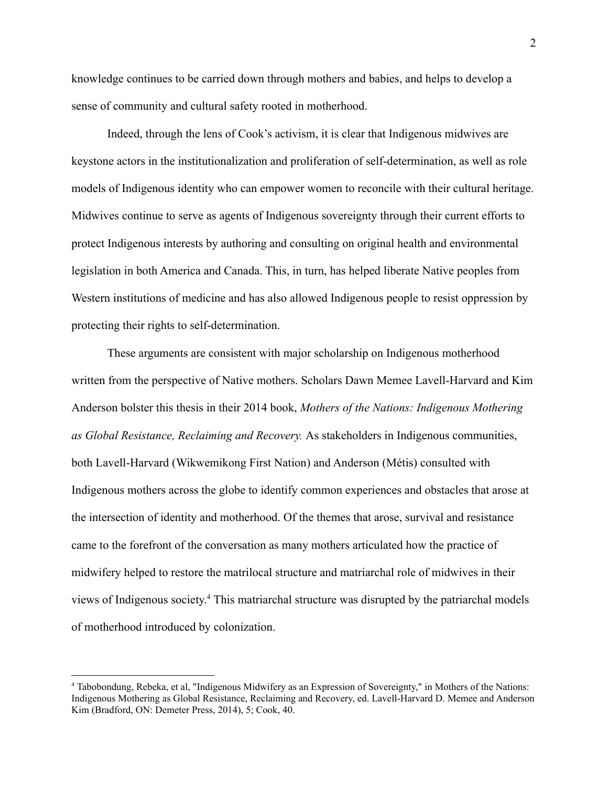knowledge continues to be carried down through mothers and babies, and helps to develop a sense of community and cultural safety rooted in motherhood.

Indeed, through the lens of Cook's activism, it is clear that Indigenous midwives are keystone actors in the institutionalization and proliferation of self-determination, as well as role models of Indigenous identity who can empower women to reconcile with their cultural heritage. Midwives continue to serve as agents of Indigenous sovereignty through their current efforts to protect Indigenous interests by authoring and consulting on original health and environmental legislation in both America and Canada. This, in turn, has helped liberate Native peoples from Western institutions of medicine and has also allowed Indigenous people to resist oppression by protecting their rights to self-determination.

These arguments are consistent with major scholarship on Indigenous motherhood written from the perspective of Native mothers. Scholars Dawn Memee Lavell-Harvard and Kim Anderson bolster this thesis in their 2014 book, *Mothers of the Nations: Indigenous Mothering as Global Resistance, Reclaiming and Recovery.* As stakeholders in Indigenous communities, both Lavell-Harvard (Wikwemikong First Nation) and Anderson (Métis) consulted with Indigenous mothers across the globe to identify common experiences and obstacles that arose at the intersection of identity and motherhood. Of the themes that arose, survival and resistance came to the forefront of the conversation as many mothers articulated how the practice of midwifery helped to restore the matrilocal structure and matriarchal role of midwives in their views of Indigenous society. <sup>4</sup> This matriarchal structure was disrupted by the patriarchal models of motherhood introduced by colonization.

<sup>4</sup> Tabobondung, Rebeka, et al, "Indigenous Midwifery as an Expression of Sovereignty," in Mothers of the Nations: Indigenous Mothering as Global Resistance, Reclaiming and Recovery, ed. Lavell-Harvard D. Memee and Anderson Kim (Bradford, ON: Demeter Press, 2014), 5; Cook, 40.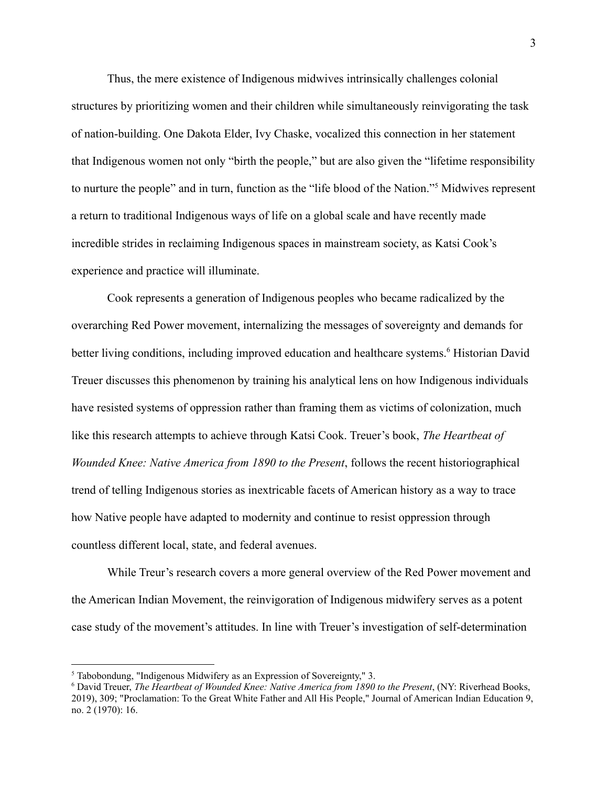Thus, the mere existence of Indigenous midwives intrinsically challenges colonial structures by prioritizing women and their children while simultaneously reinvigorating the task of nation-building. One Dakota Elder, Ivy Chaske, vocalized this connection in her statement that Indigenous women not only "birth the people," but are also given the "lifetime responsibility to nurture the people" and in turn, function as the "life blood of the Nation."<sup>5</sup> Midwives represent a return to traditional Indigenous ways of life on a global scale and have recently made incredible strides in reclaiming Indigenous spaces in mainstream society, as Katsi Cook's experience and practice will illuminate.

Cook represents a generation of Indigenous peoples who became radicalized by the overarching Red Power movement, internalizing the messages of sovereignty and demands for better living conditions, including improved education and healthcare systems.<sup>6</sup> Historian David Treuer discusses this phenomenon by training his analytical lens on how Indigenous individuals have resisted systems of oppression rather than framing them as victims of colonization, much like this research attempts to achieve through Katsi Cook. Treuer's book, *The Heartbeat of Wounded Knee: Native America from 1890 to the Present*, follows the recent historiographical trend of telling Indigenous stories as inextricable facets of American history as a way to trace how Native people have adapted to modernity and continue to resist oppression through countless different local, state, and federal avenues.

While Treur's research covers a more general overview of the Red Power movement and the American Indian Movement, the reinvigoration of Indigenous midwifery serves as a potent case study of the movement's attitudes. In line with Treuer's investigation of self-determination

<sup>5</sup> Tabobondung, "Indigenous Midwifery as an Expression of Sovereignty," 3.

<sup>6</sup> David Treuer, *The Heartbeat of Wounded Knee: Native America from 1890 to the Present*, (NY: Riverhead Books, 2019), 309; "Proclamation: To the Great White Father and All His People," Journal of American Indian Education 9, no. 2 (1970): 16.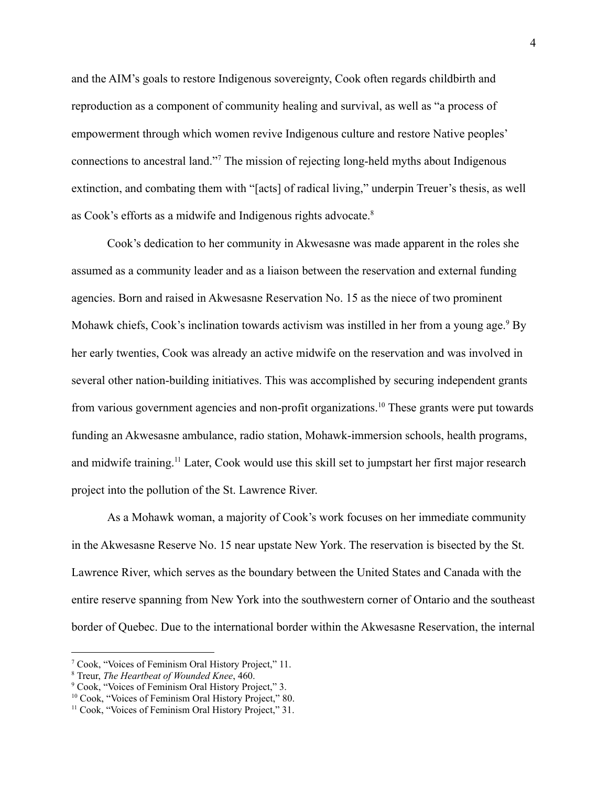and the AIM's goals to restore Indigenous sovereignty, Cook often regards childbirth and reproduction as a component of community healing and survival, as well as "a process of empowerment through which women revive Indigenous culture and restore Native peoples' connections to ancestral land."<sup>7</sup> The mission of rejecting long-held myths about Indigenous extinction, and combating them with "[acts] of radical living," underpin Treuer's thesis, as well as Cook's efforts as a midwife and Indigenous rights advocate.<sup>8</sup>

Cook's dedication to her community in Akwesasne was made apparent in the roles she assumed as a community leader and as a liaison between the reservation and external funding agencies. Born and raised in Akwesasne Reservation No. 15 as the niece of two prominent Mohawk chiefs, Cook's inclination towards activism was instilled in her from a young age.<sup>9</sup> By her early twenties, Cook was already an active midwife on the reservation and was involved in several other nation-building initiatives. This was accomplished by securing independent grants from various government agencies and non-profit organizations.<sup>10</sup> These grants were put towards funding an Akwesasne ambulance, radio station, Mohawk-immersion schools, health programs, and midwife training.<sup>11</sup> Later, Cook would use this skill set to jumpstart her first major research project into the pollution of the St. Lawrence River.

As a Mohawk woman, a majority of Cook's work focuses on her immediate community in the Akwesasne Reserve No. 15 near upstate New York. The reservation is bisected by the St. Lawrence River, which serves as the boundary between the United States and Canada with the entire reserve spanning from New York into the southwestern corner of Ontario and the southeast border of Quebec. Due to the international border within the Akwesasne Reservation, the internal

<sup>7</sup> Cook, "Voices of Feminism Oral History Project," 11.

<sup>8</sup> Treur, *The Heartbeat of Wounded Knee*, 460.

<sup>9</sup> Cook, "Voices of Feminism Oral History Project," 3.

<sup>&</sup>lt;sup>10</sup> Cook, "Voices of Feminism Oral History Project," 80.

<sup>&</sup>lt;sup>11</sup> Cook, "Voices of Feminism Oral History Project," 31.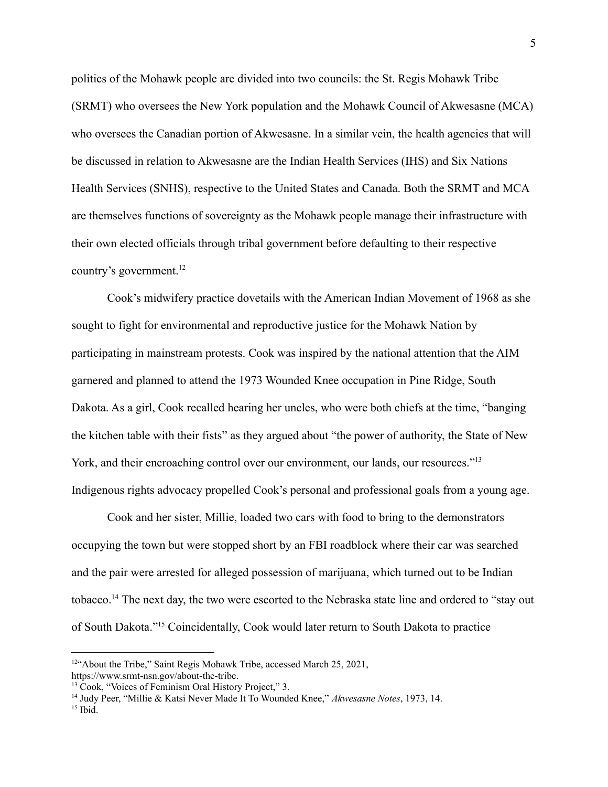politics of the Mohawk people are divided into two councils: the St. Regis Mohawk Tribe (SRMT) who oversees the New York population and the Mohawk Council of Akwesasne (MCA) who oversees the Canadian portion of Akwesasne. In a similar vein, the health agencies that will be discussed in relation to Akwesasne are the Indian Health Services (IHS) and Six Nations Health Services (SNHS), respective to the United States and Canada. Both the SRMT and MCA are themselves functions of sovereignty as the Mohawk people manage their infrastructure with their own elected officials through tribal government before defaulting to their respective country's government.<sup>12</sup>

Cook's midwifery practice dovetails with the American Indian Movement of 1968 as she sought to fight for environmental and reproductive justice for the Mohawk Nation by participating in mainstream protests. Cook was inspired by the national attention that the AIM garnered and planned to attend the 1973 Wounded Knee occupation in Pine Ridge, South Dakota. As a girl, Cook recalled hearing her uncles, who were both chiefs at the time, "banging the kitchen table with their fists" as they argued about "the power of authority, the State of New York, and their encroaching control over our environment, our lands, our resources."<sup>13</sup> Indigenous rights advocacy propelled Cook's personal and professional goals from a young age.

Cook and her sister, Millie, loaded two cars with food to bring to the demonstrators occupying the town but were stopped short by an FBI roadblock where their car was searched and the pair were arrested for alleged possession of marijuana, which turned out to be Indian tobacco.<sup>14</sup> The next day, the two were escorted to the Nebraska state line and ordered to "stay out of South Dakota."<sup>15</sup> Coincidentally, Cook would later return to South Dakota to practice

<sup>&</sup>lt;sup>12"</sup>About the Tribe," Saint Regis Mohawk Tribe, accessed March 25, 2021, https://www.srmt-nsn.gov/about-the-tribe.

<sup>&</sup>lt;sup>13</sup> Cook, "Voices of Feminism Oral History Project," 3.

<sup>14</sup> Judy Peer, "Millie & Katsi Never Made It To Wounded Knee," *Akwesasne Notes*, 1973, 14.

 $15$  Ibid.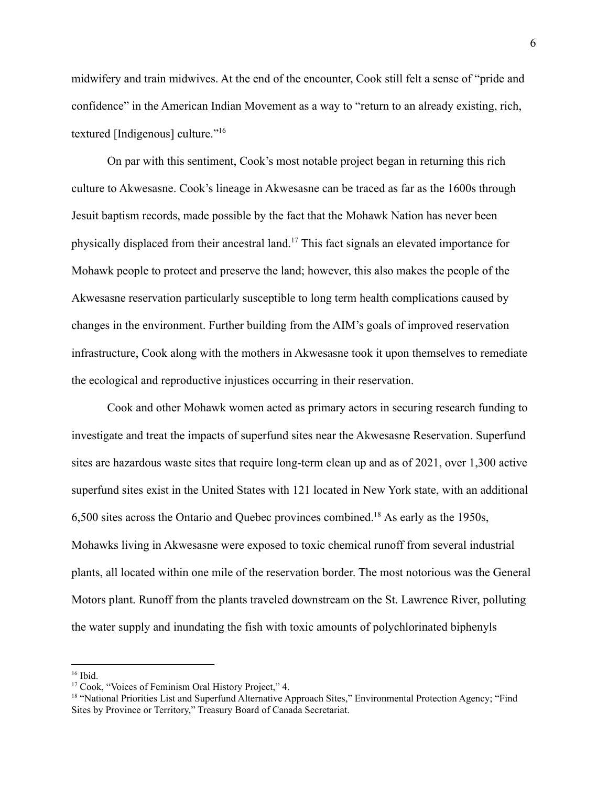midwifery and train midwives. At the end of the encounter, Cook still felt a sense of "pride and confidence" in the American Indian Movement as a way to "return to an already existing, rich, textured [Indigenous] culture."<sup>16</sup>

On par with this sentiment, Cook's most notable project began in returning this rich culture to Akwesasne. Cook's lineage in Akwesasne can be traced as far as the 1600s through Jesuit baptism records, made possible by the fact that the Mohawk Nation has never been physically displaced from their ancestral land.<sup>17</sup> This fact signals an elevated importance for Mohawk people to protect and preserve the land; however, this also makes the people of the Akwesasne reservation particularly susceptible to long term health complications caused by changes in the environment. Further building from the AIM's goals of improved reservation infrastructure, Cook along with the mothers in Akwesasne took it upon themselves to remediate the ecological and reproductive injustices occurring in their reservation.

Cook and other Mohawk women acted as primary actors in securing research funding to investigate and treat the impacts of superfund sites near the Akwesasne Reservation. Superfund sites are hazardous waste sites that require long-term clean up and as of 2021, over 1,300 active superfund sites exist in the United States with 121 located in New York state, with an additional 6,500 sites across the Ontario and Quebec provinces combined.<sup>18</sup> As early as the 1950s, Mohawks living in Akwesasne were exposed to toxic chemical runoff from several industrial plants, all located within one mile of the reservation border. The most notorious was the General Motors plant. Runoff from the plants traveled downstream on the St. Lawrence River, polluting the water supply and inundating the fish with toxic amounts of polychlorinated biphenyls

 $16$  Ibid.

<sup>17</sup> Cook, "Voices of Feminism Oral History Project," 4.

<sup>&</sup>lt;sup>18</sup> "National Priorities List and Superfund Alternative Approach Sites," Environmental Protection Agency; "Find Sites by Province or Territory," Treasury Board of Canada Secretariat.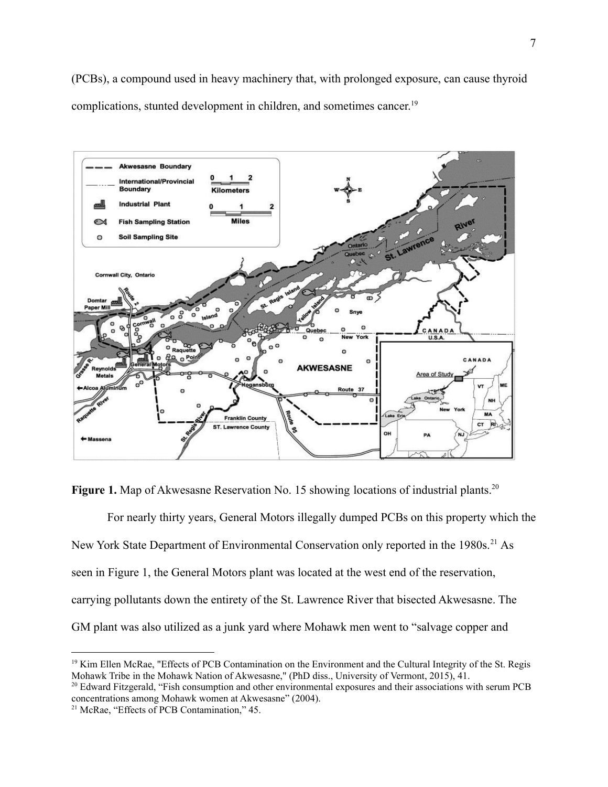(PCBs), a compound used in heavy machinery that, with prolonged exposure, can cause thyroid complications, stunted development in children, and sometimes cancer. 19



**Figure 1.** Map of Akwesasne Reservation No. 15 showing locations of industrial plants.<sup>20</sup>

For nearly thirty years, General Motors illegally dumped PCBs on this property which the New York State Department of Environmental Conservation only reported in the 1980s.<sup>21</sup> As seen in Figure 1, the General Motors plant was located at the west end of the reservation, carrying pollutants down the entirety of the St. Lawrence River that bisected Akwesasne. The GM plant was also utilized as a junk yard where Mohawk men went to "salvage copper and

<sup>&</sup>lt;sup>19</sup> Kim Ellen McRae, "Effects of PCB Contamination on the Environment and the Cultural Integrity of the St. Regis Mohawk Tribe in the Mohawk Nation of Akwesasne," (PhD diss., University of Vermont, 2015), 41.

<sup>&</sup>lt;sup>20</sup> Edward Fitzgerald, "Fish consumption and other environmental exposures and their associations with serum PCB concentrations among Mohawk women at Akwesasne" (2004).

<sup>21</sup> McRae, "Effects of PCB Contamination," 45.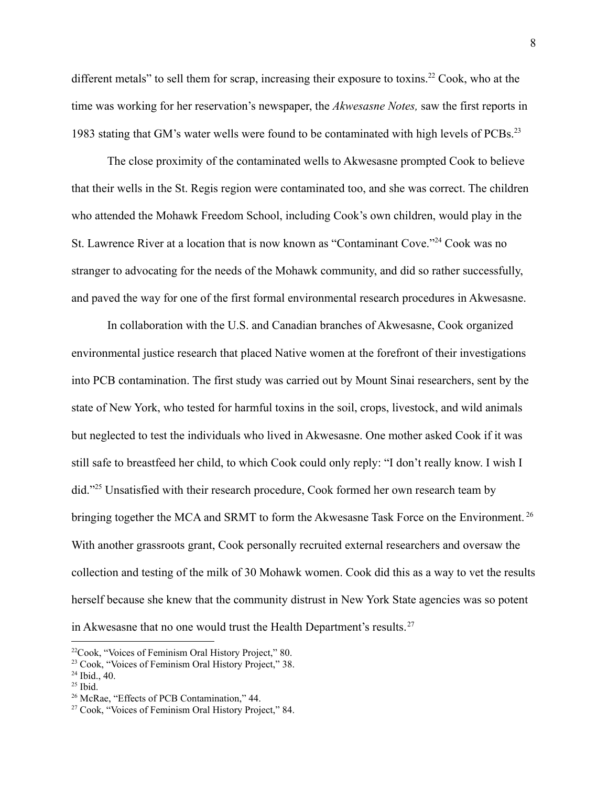different metals" to sell them for scrap, increasing their exposure to toxins.<sup>22</sup> Cook, who at the time was working for her reservation's newspaper, the *Akwesasne Notes,* saw the first reports in 1983 stating that GM's water wells were found to be contaminated with high levels of PCBs.<sup>23</sup>

The close proximity of the contaminated wells to Akwesasne prompted Cook to believe that their wells in the St. Regis region were contaminated too, and she was correct. The children who attended the Mohawk Freedom School, including Cook's own children, would play in the St. Lawrence River at a location that is now known as "Contaminant Cove."<sup>24</sup> Cook was no stranger to advocating for the needs of the Mohawk community, and did so rather successfully, and paved the way for one of the first formal environmental research procedures in Akwesasne.

In collaboration with the U.S. and Canadian branches of Akwesasne, Cook organized environmental justice research that placed Native women at the forefront of their investigations into PCB contamination. The first study was carried out by Mount Sinai researchers, sent by the state of New York, who tested for harmful toxins in the soil, crops, livestock, and wild animals but neglected to test the individuals who lived in Akwesasne. One mother asked Cook if it was still safe to breastfeed her child, to which Cook could only reply: "I don't really know. I wish I did."<sup>25</sup> Unsatisfied with their research procedure, Cook formed her own research team by bringing together the MCA and SRMT to form the Akwesasne Task Force on the Environment.<sup>26</sup> With another grassroots grant, Cook personally recruited external researchers and oversaw the collection and testing of the milk of 30 Mohawk women. Cook did this as a way to vet the results herself because she knew that the community distrust in New York State agencies was so potent in Akwesasne that no one would trust the Health Department's results.<sup>27</sup>

<sup>22</sup>Cook, "Voices of Feminism Oral History Project," 80.

<sup>23</sup> Cook, "Voices of Feminism Oral History Project," 38.

<sup>24</sup> Ibid., 40.

 $25$  Ibid.

<sup>26</sup> McRae, "Effects of PCB Contamination," 44.

<sup>27</sup> Cook, "Voices of Feminism Oral History Project," 84.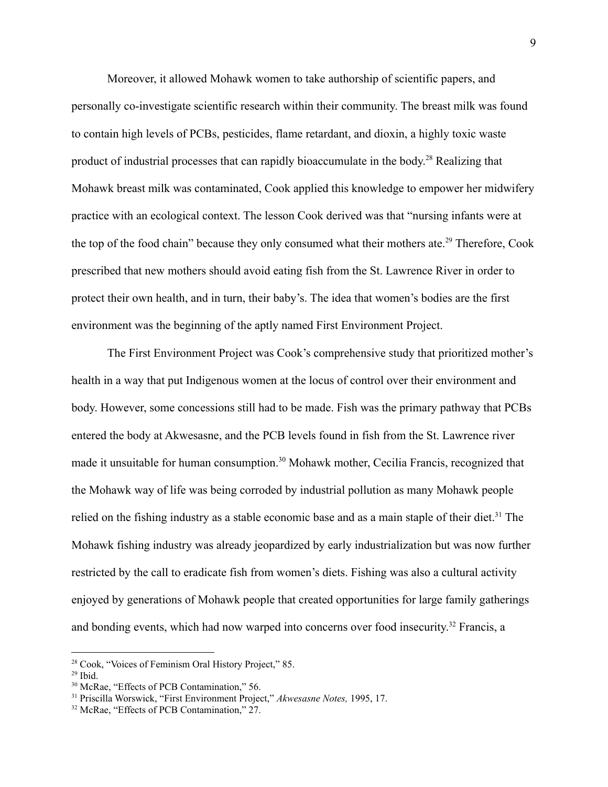Moreover, it allowed Mohawk women to take authorship of scientific papers, and personally co-investigate scientific research within their community. The breast milk was found to contain high levels of PCBs, pesticides, flame retardant, and dioxin, a highly toxic waste product of industrial processes that can rapidly bioaccumulate in the body.<sup>28</sup> Realizing that Mohawk breast milk was contaminated, Cook applied this knowledge to empower her midwifery practice with an ecological context. The lesson Cook derived was that "nursing infants were at the top of the food chain" because they only consumed what their mothers ate.<sup>29</sup> Therefore, Cook prescribed that new mothers should avoid eating fish from the St. Lawrence River in order to protect their own health, and in turn, their baby's. The idea that women's bodies are the first environment was the beginning of the aptly named First Environment Project.

The First Environment Project was Cook's comprehensive study that prioritized mother's health in a way that put Indigenous women at the locus of control over their environment and body. However, some concessions still had to be made. Fish was the primary pathway that PCBs entered the body at Akwesasne, and the PCB levels found in fish from the St. Lawrence river made it unsuitable for human consumption.<sup>30</sup> Mohawk mother, Cecilia Francis, recognized that the Mohawk way of life was being corroded by industrial pollution as many Mohawk people relied on the fishing industry as a stable economic base and as a main staple of their diet.<sup>31</sup> The Mohawk fishing industry was already jeopardized by early industrialization but was now further restricted by the call to eradicate fish from women's diets. Fishing was also a cultural activity enjoyed by generations of Mohawk people that created opportunities for large family gatherings and bonding events, which had now warped into concerns over food insecurity. <sup>32</sup> Francis, a

<sup>28</sup> Cook, "Voices of Feminism Oral History Project," 85.

 $29$  Ibid.

<sup>30</sup> McRae, "Effects of PCB Contamination," 56.

<sup>31</sup> Priscilla Worswick, "First Environment Project," *Akwesasne Notes,* 1995, 17.

<sup>&</sup>lt;sup>32</sup> McRae, "Effects of PCB Contamination," 27.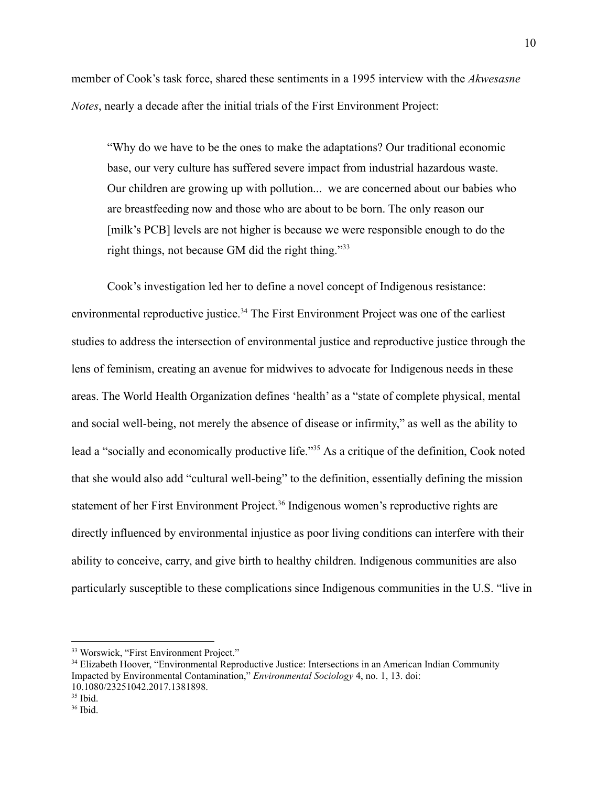member of Cook's task force, shared these sentiments in a 1995 interview with the *Akwesasne Notes*, nearly a decade after the initial trials of the First Environment Project:

"Why do we have to be the ones to make the adaptations? Our traditional economic base, our very culture has suffered severe impact from industrial hazardous waste. Our children are growing up with pollution... we are concerned about our babies who are breastfeeding now and those who are about to be born. The only reason our [milk's PCB] levels are not higher is because we were responsible enough to do the right things, not because GM did the right thing."<sup>33</sup>

Cook's investigation led her to define a novel concept of Indigenous resistance: environmental reproductive justice.<sup>34</sup> The First Environment Project was one of the earliest studies to address the intersection of environmental justice and reproductive justice through the lens of feminism, creating an avenue for midwives to advocate for Indigenous needs in these areas. The World Health Organization defines 'health' as a "state of complete physical, mental and social well-being, not merely the absence of disease or infirmity," as well as the ability to lead a "socially and economically productive life."<sup>35</sup> As a critique of the definition, Cook noted that she would also add "cultural well-being" to the definition, essentially defining the mission statement of her First Environment Project.<sup>36</sup> Indigenous women's reproductive rights are directly influenced by environmental injustice as poor living conditions can interfere with their ability to conceive, carry, and give birth to healthy children. Indigenous communities are also particularly susceptible to these complications since Indigenous communities in the U.S. "live in

<sup>33</sup> Worswick, "First Environment Project."

<sup>&</sup>lt;sup>34</sup> Elizabeth Hoover, "Environmental Reproductive Justice: Intersections in an American Indian Community Impacted by Environmental Contamination," *Environmental Sociology* 4, no. 1, 13. doi: 10.1080/23251042.2017.1381898.

 $35$  Ibid.

<sup>36</sup> Ibid.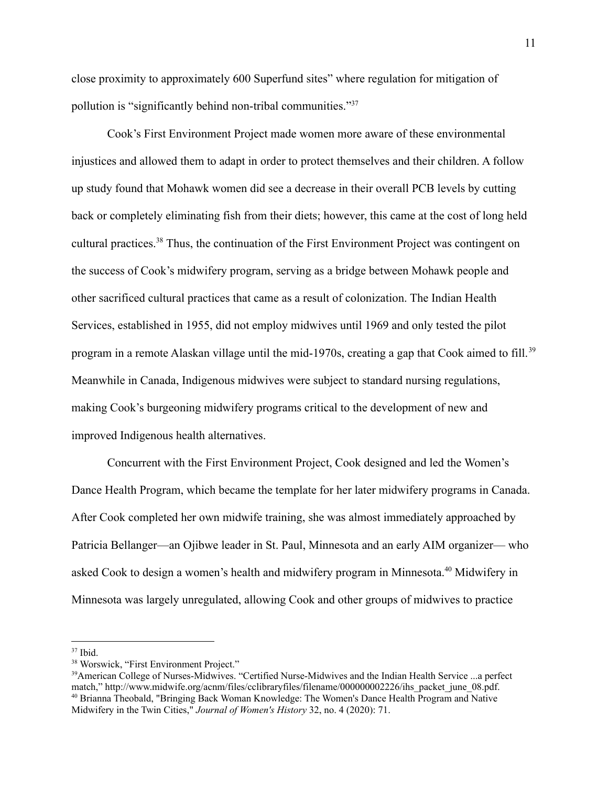close proximity to approximately 600 Superfund sites" where regulation for mitigation of pollution is "significantly behind non-tribal communities."<sup>37</sup>

Cook's First Environment Project made women more aware of these environmental injustices and allowed them to adapt in order to protect themselves and their children. A follow up study found that Mohawk women did see a decrease in their overall PCB levels by cutting back or completely eliminating fish from their diets; however, this came at the cost of long held cultural practices.<sup>38</sup> Thus, the continuation of the First Environment Project was contingent on the success of Cook's midwifery program, serving as a bridge between Mohawk people and other sacrificed cultural practices that came as a result of colonization. The Indian Health Services, established in 1955, did not employ midwives until 1969 and only tested the pilot program in a remote Alaskan village until the mid-1970s, creating a gap that Cook aimed to fill. <sup>39</sup> Meanwhile in Canada, Indigenous midwives were subject to standard nursing regulations, making Cook's burgeoning midwifery programs critical to the development of new and improved Indigenous health alternatives.

Concurrent with the First Environment Project, Cook designed and led the Women's Dance Health Program, which became the template for her later midwifery programs in Canada. After Cook completed her own midwife training, she was almost immediately approached by Patricia Bellanger—an Ojibwe leader in St. Paul, Minnesota and an early AIM organizer— who asked Cook to design a women's health and midwifery program in Minnesota.<sup>40</sup> Midwifery in Minnesota was largely unregulated, allowing Cook and other groups of midwives to practice

 $37$  Ibid.

<sup>38</sup> Worswick, "First Environment Project."

<sup>40</sup> Brianna Theobald, "Bringing Back Woman Knowledge: The Women's Dance Health Program and Native Midwifery in the Twin Cities," *Journal of Women's History* 32, no. 4 (2020): 71. <sup>39</sup>American College of Nurses-Midwives. "Certified Nurse-Midwives and the Indian Health Service ...a perfect match," http://www.midwife.org/acnm/files/cclibraryfiles/filename/000000002226/ihs\_packet\_june\_08.pdf.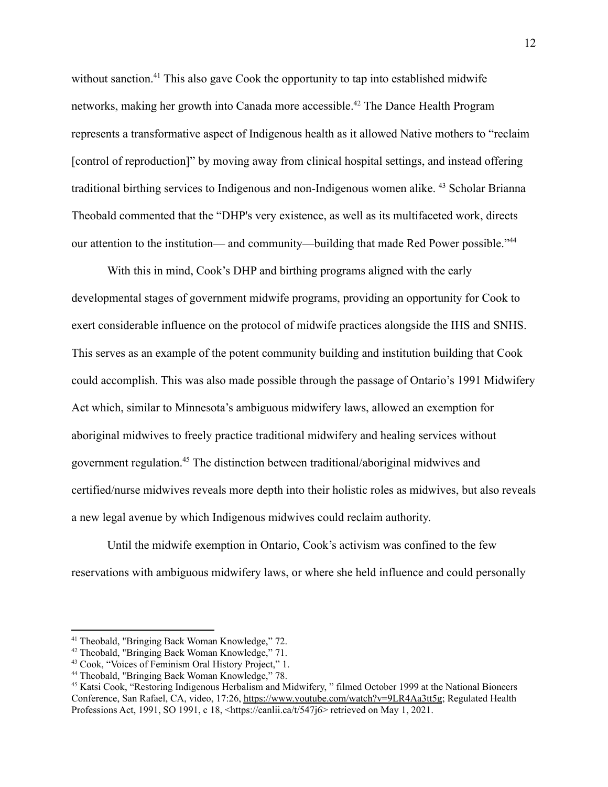without sanction.<sup>41</sup> This also gave Cook the opportunity to tap into established midwife networks, making her growth into Canada more accessible.<sup>42</sup> The Dance Health Program represents a transformative aspect of Indigenous health as it allowed Native mothers to "reclaim [control of reproduction]" by moving away from clinical hospital settings, and instead offering traditional birthing services to Indigenous and non-Indigenous women alike. <sup>43</sup> Scholar Brianna Theobald commented that the "DHP's very existence, as well as its multifaceted work, directs our attention to the institution— and community—building that made Red Power possible."<sup>44</sup>

With this in mind, Cook's DHP and birthing programs aligned with the early developmental stages of government midwife programs, providing an opportunity for Cook to exert considerable influence on the protocol of midwife practices alongside the IHS and SNHS. This serves as an example of the potent community building and institution building that Cook could accomplish. This was also made possible through the passage of Ontario's 1991 Midwifery Act which, similar to Minnesota's ambiguous midwifery laws, allowed an exemption for aboriginal midwives to freely practice traditional midwifery and healing services without government regulation.<sup>45</sup> The distinction between traditional/aboriginal midwives and certified/nurse midwives reveals more depth into their holistic roles as midwives, but also reveals a new legal avenue by which Indigenous midwives could reclaim authority.

Until the midwife exemption in Ontario, Cook's activism was confined to the few reservations with ambiguous midwifery laws, or where she held influence and could personally

<sup>41</sup> Theobald, "Bringing Back Woman Knowledge," 72.

<sup>42</sup> Theobald, "Bringing Back Woman Knowledge," 71.

<sup>43</sup> Cook, "Voices of Feminism Oral History Project," 1.

<sup>44</sup> Theobald, "Bringing Back Woman Knowledge," 78.

<sup>45</sup> Katsi Cook, "Restoring Indigenous Herbalism and Midwifery, " filmed October 1999 at the National Bioneers Conference, San Rafael, CA, video, 17:26, <https://www.youtube.com/watch?v=9LR4Aa3tt5g>; Regulated Health Professions Act, 1991, SO 1991, c 18, <https://canlii.ca/t/547j6> retrieved on May 1, 2021.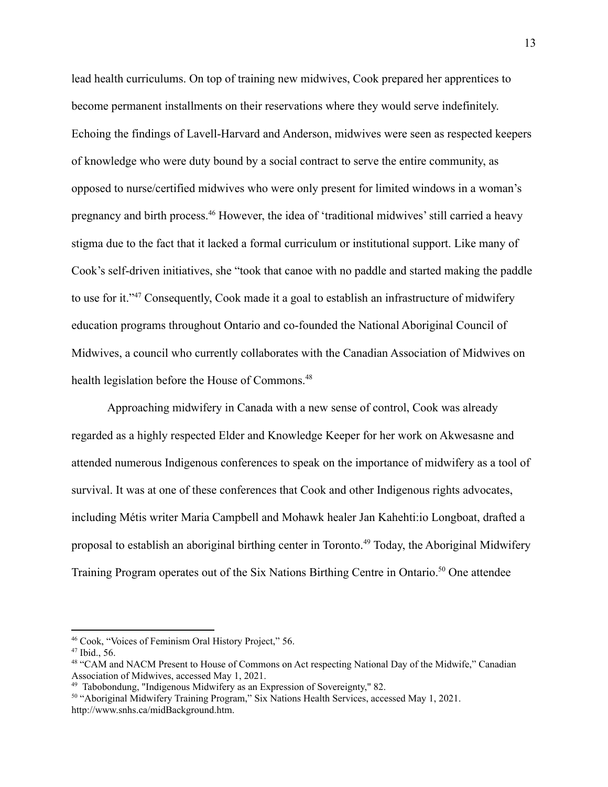lead health curriculums. On top of training new midwives, Cook prepared her apprentices to become permanent installments on their reservations where they would serve indefinitely. Echoing the findings of Lavell-Harvard and Anderson, midwives were seen as respected keepers of knowledge who were duty bound by a social contract to serve the entire community, as opposed to nurse/certified midwives who were only present for limited windows in a woman's pregnancy and birth process.<sup>46</sup> However, the idea of 'traditional midwives' still carried a heavy stigma due to the fact that it lacked a formal curriculum or institutional support. Like many of Cook's self-driven initiatives, she "took that canoe with no paddle and started making the paddle to use for it."<sup>47</sup> Consequently, Cook made it a goal to establish an infrastructure of midwifery education programs throughout Ontario and co-founded the National Aboriginal Council of Midwives, a council who currently collaborates with the Canadian Association of Midwives on health legislation before the House of Commons.<sup>48</sup>

Approaching midwifery in Canada with a new sense of control, Cook was already regarded as a highly respected Elder and Knowledge Keeper for her work on Akwesasne and attended numerous Indigenous conferences to speak on the importance of midwifery as a tool of survival. It was at one of these conferences that Cook and other Indigenous rights advocates, including Métis writer Maria Campbell and Mohawk healer Jan Kahehti:io Longboat, drafted a proposal to establish an aboriginal birthing center in Toronto.<sup>49</sup> Today, the Aboriginal Midwifery Training Program operates out of the Six Nations Birthing Centre in Ontario.<sup>50</sup> One attendee

<sup>46</sup> Cook, "Voices of Feminism Oral History Project," 56.

 $47$  Ibid., 56.

<sup>&</sup>lt;sup>48</sup> "CAM and NACM Present to House of Commons on Act respecting National Day of the Midwife," Canadian Association of Midwives, accessed May 1, 2021.

<sup>49</sup> Tabobondung, "Indigenous Midwifery as an Expression of Sovereignty," 82.

<sup>&</sup>lt;sup>50</sup> "Aboriginal Midwifery Training Program," Six Nations Health Services, accessed May 1, 2021. http://www.snhs.ca/midBackground.htm.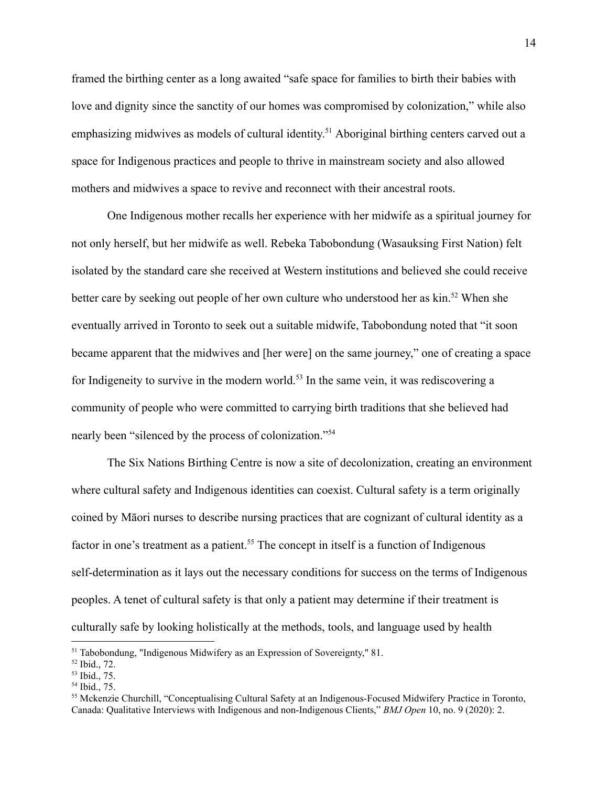framed the birthing center as a long awaited "safe space for families to birth their babies with love and dignity since the sanctity of our homes was compromised by colonization," while also emphasizing midwives as models of cultural identity.<sup>51</sup> Aboriginal birthing centers carved out a space for Indigenous practices and people to thrive in mainstream society and also allowed mothers and midwives a space to revive and reconnect with their ancestral roots.

One Indigenous mother recalls her experience with her midwife as a spiritual journey for not only herself, but her midwife as well. Rebeka Tabobondung (Wasauksing First Nation) felt isolated by the standard care she received at Western institutions and believed she could receive better care by seeking out people of her own culture who understood her as kin.<sup>52</sup> When she eventually arrived in Toronto to seek out a suitable midwife, Tabobondung noted that "it soon became apparent that the midwives and [her were] on the same journey," one of creating a space for Indigeneity to survive in the modern world.<sup>53</sup> In the same vein, it was rediscovering a community of people who were committed to carrying birth traditions that she believed had nearly been "silenced by the process of colonization."<sup>54</sup>

The Six Nations Birthing Centre is now a site of decolonization, creating an environment where cultural safety and Indigenous identities can coexist. Cultural safety is a term originally coined by Māori nurses to describe nursing practices that are cognizant of cultural identity as a factor in one's treatment as a patient.<sup>55</sup> The concept in itself is a function of Indigenous self-determination as it lays out the necessary conditions for success on the terms of Indigenous peoples. A tenet of cultural safety is that only a patient may determine if their treatment is culturally safe by looking holistically at the methods, tools, and language used by health

<sup>&</sup>lt;sup>51</sup> Tabobondung, "Indigenous Midwifery as an Expression of Sovereignty," 81.

<sup>52</sup> Ibid., 72.

<sup>53</sup> Ibid., 75.

<sup>54</sup> Ibid., 75.

<sup>55</sup> Mckenzie Churchill, "Conceptualising Cultural Safety at an Indigenous-Focused Midwifery Practice in Toronto, Canada: Qualitative Interviews with Indigenous and non-Indigenous Clients," *BMJ Open* 10, no. 9 (2020): 2.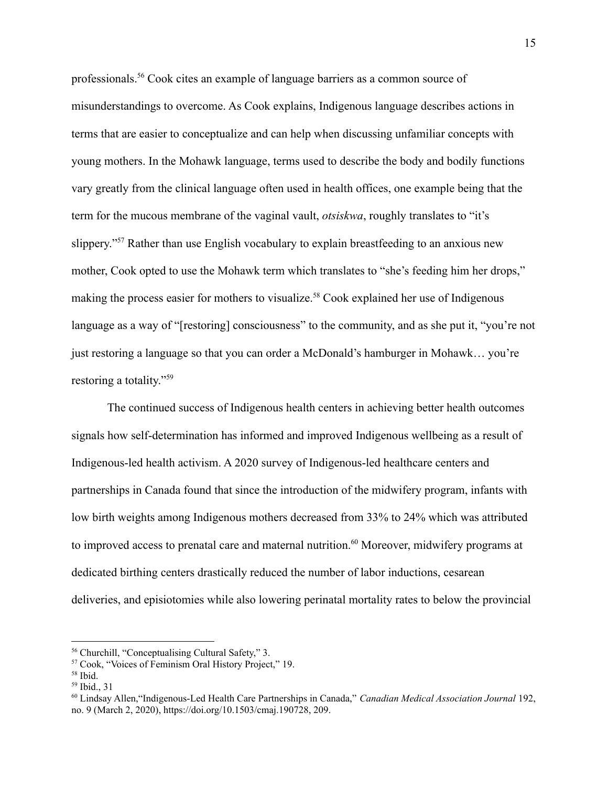professionals.<sup>56</sup> Cook cites an example of language barriers as a common source of misunderstandings to overcome. As Cook explains, Indigenous language describes actions in terms that are easier to conceptualize and can help when discussing unfamiliar concepts with young mothers. In the Mohawk language, terms used to describe the body and bodily functions vary greatly from the clinical language often used in health offices, one example being that the term for the mucous membrane of the vaginal vault, *otsiskwa*, roughly translates to "it's slippery."<sup>57</sup> Rather than use English vocabulary to explain breastfeeding to an anxious new mother, Cook opted to use the Mohawk term which translates to "she's feeding him her drops," making the process easier for mothers to visualize.<sup>58</sup> Cook explained her use of Indigenous language as a way of "[restoring] consciousness" to the community, and as she put it, "you're not just restoring a language so that you can order a McDonald's hamburger in Mohawk… you're restoring a totality."<sup>59</sup>

The continued success of Indigenous health centers in achieving better health outcomes signals how self-determination has informed and improved Indigenous wellbeing as a result of Indigenous-led health activism. A 2020 survey of Indigenous-led healthcare centers and partnerships in Canada found that since the introduction of the midwifery program, infants with low birth weights among Indigenous mothers decreased from 33% to 24% which was attributed to improved access to prenatal care and maternal nutrition.<sup>60</sup> Moreover, midwifery programs at dedicated birthing centers drastically reduced the number of labor inductions, cesarean deliveries, and episiotomies while also lowering perinatal mortality rates to below the provincial

<sup>56</sup> Churchill, "Conceptualising Cultural Safety," 3.

<sup>57</sup> Cook, "Voices of Feminism Oral History Project," 19.

<sup>58</sup> Ibid.

<sup>59</sup> Ibid., 31

<sup>60</sup> Lindsay Allen,"Indigenous-Led Health Care Partnerships in Canada," *Canadian Medical Association Journal* 192, no. 9 (March 2, 2020), https://doi.org/10.1503/cmaj.190728, 209.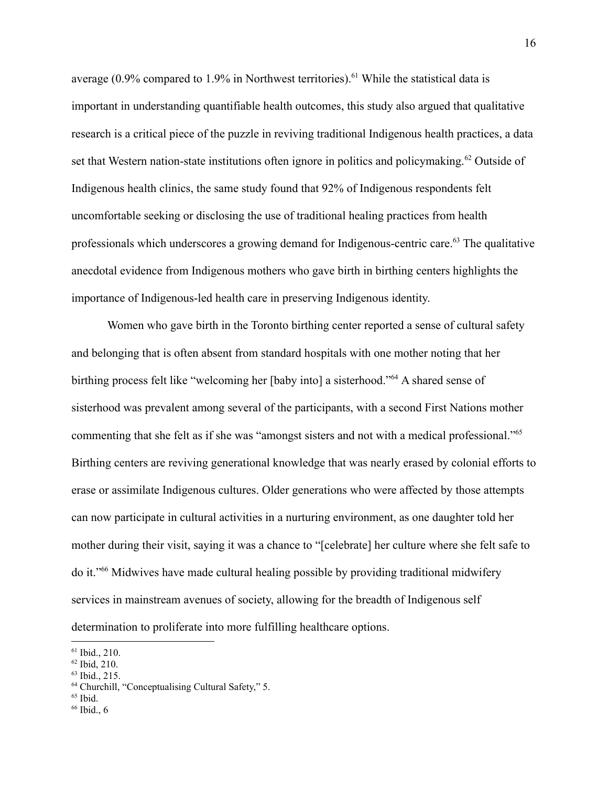average  $(0.9\%$  compared to 1.9% in Northwest territories).<sup>61</sup> While the statistical data is important in understanding quantifiable health outcomes, this study also argued that qualitative research is a critical piece of the puzzle in reviving traditional Indigenous health practices, a data set that Western nation-state institutions often ignore in politics and policymaking.<sup>62</sup> Outside of Indigenous health clinics, the same study found that 92% of Indigenous respondents felt uncomfortable seeking or disclosing the use of traditional healing practices from health professionals which underscores a growing demand for Indigenous-centric care.<sup>63</sup> The qualitative anecdotal evidence from Indigenous mothers who gave birth in birthing centers highlights the importance of Indigenous-led health care in preserving Indigenous identity.

Women who gave birth in the Toronto birthing center reported a sense of cultural safety and belonging that is often absent from standard hospitals with one mother noting that her birthing process felt like "welcoming her [baby into] a sisterhood."<sup>64</sup> A shared sense of sisterhood was prevalent among several of the participants, with a second First Nations mother commenting that she felt as if she was "amongst sisters and not with a medical professional."<sup>65</sup> Birthing centers are reviving generational knowledge that was nearly erased by colonial efforts to erase or assimilate Indigenous cultures. Older generations who were affected by those attempts can now participate in cultural activities in a nurturing environment, as one daughter told her mother during their visit, saying it was a chance to "[celebrate] her culture where she felt safe to do it."<sup>66</sup> Midwives have made cultural healing possible by providing traditional midwifery services in mainstream avenues of society, allowing for the breadth of Indigenous self determination to proliferate into more fulfilling healthcare options.

<sup>63</sup> Ibid., 215.

 $65$  Ibid.

<sup>61</sup> Ibid., 210.

<sup>62</sup> Ibid, 210.

<sup>64</sup> Churchill, "Conceptualising Cultural Safety," 5.

 $66$  Ibid., 6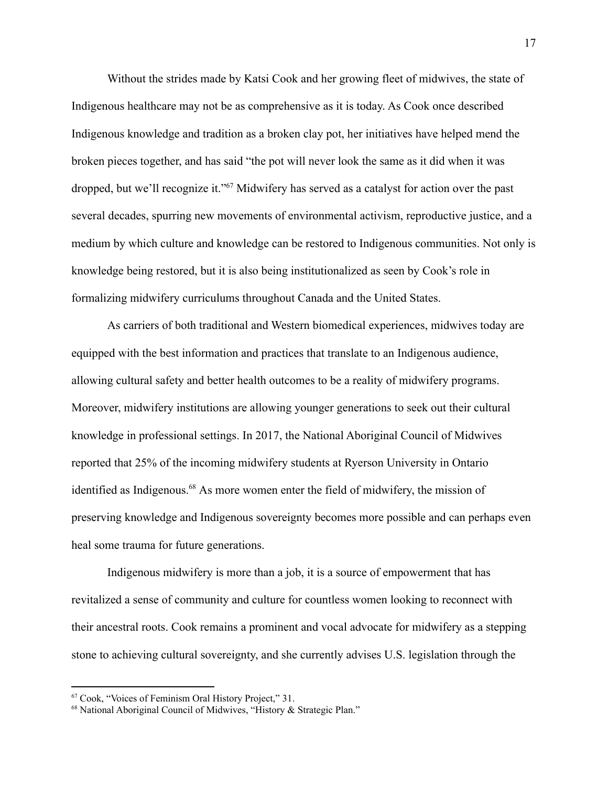Without the strides made by Katsi Cook and her growing fleet of midwives, the state of Indigenous healthcare may not be as comprehensive as it is today. As Cook once described Indigenous knowledge and tradition as a broken clay pot, her initiatives have helped mend the broken pieces together, and has said "the pot will never look the same as it did when it was dropped, but we'll recognize it."<sup>67</sup> Midwifery has served as a catalyst for action over the past several decades, spurring new movements of environmental activism, reproductive justice, and a medium by which culture and knowledge can be restored to Indigenous communities. Not only is knowledge being restored, but it is also being institutionalized as seen by Cook's role in formalizing midwifery curriculums throughout Canada and the United States.

As carriers of both traditional and Western biomedical experiences, midwives today are equipped with the best information and practices that translate to an Indigenous audience, allowing cultural safety and better health outcomes to be a reality of midwifery programs. Moreover, midwifery institutions are allowing younger generations to seek out their cultural knowledge in professional settings. In 2017, the National Aboriginal Council of Midwives reported that 25% of the incoming midwifery students at Ryerson University in Ontario identified as Indigenous.<sup>68</sup> As more women enter the field of midwifery, the mission of preserving knowledge and Indigenous sovereignty becomes more possible and can perhaps even heal some trauma for future generations.

Indigenous midwifery is more than a job, it is a source of empowerment that has revitalized a sense of community and culture for countless women looking to reconnect with their ancestral roots. Cook remains a prominent and vocal advocate for midwifery as a stepping stone to achieving cultural sovereignty, and she currently advises U.S. legislation through the

<sup>67</sup> Cook, "Voices of Feminism Oral History Project," 31.

<sup>&</sup>lt;sup>68</sup> National Aboriginal Council of Midwives, "History & Strategic Plan."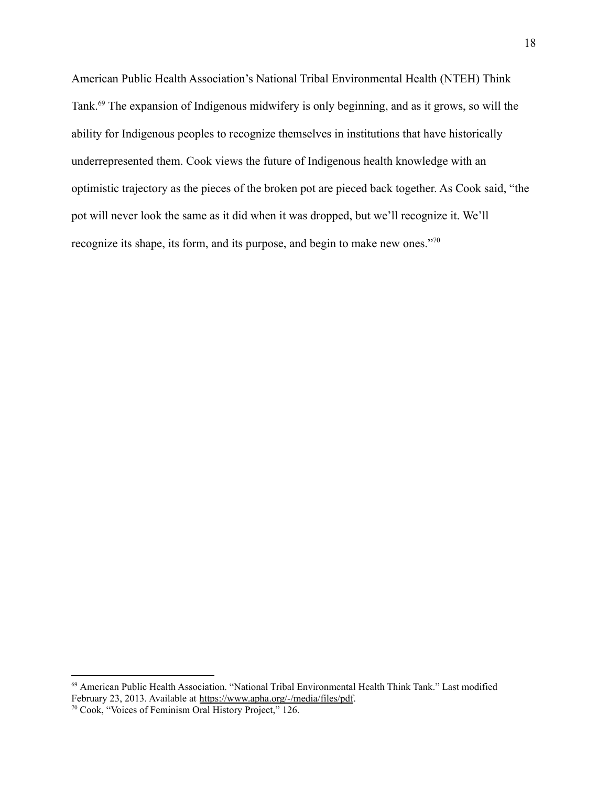American Public Health Association's National Tribal Environmental Health (NTEH) Think Tank.<sup>69</sup> The expansion of Indigenous midwifery is only beginning, and as it grows, so will the ability for Indigenous peoples to recognize themselves in institutions that have historically underrepresented them. Cook views the future of Indigenous health knowledge with an optimistic trajectory as the pieces of the broken pot are pieced back together. As Cook said, "the pot will never look the same as it did when it was dropped, but we'll recognize it. We'll recognize its shape, its form, and its purpose, and begin to make new ones."<sup>70</sup>

<sup>69</sup> American Public Health Association. "National Tribal Environmental Health Think Tank." Last modified February 23, 2013. Available at [https://www.apha.org/-/media/files/pdf](https://www.apha.org/-/media/files/pdf/topics/environment/partners/tpeh/ntehtt_feb2013albuquerquenm_mtgsummary.ashx?la=en&hash=AB9F6BB44289E507609B24F08B10B3BDE9D00F20).

<sup>70</sup> Cook, "Voices of Feminism Oral History Project," 126.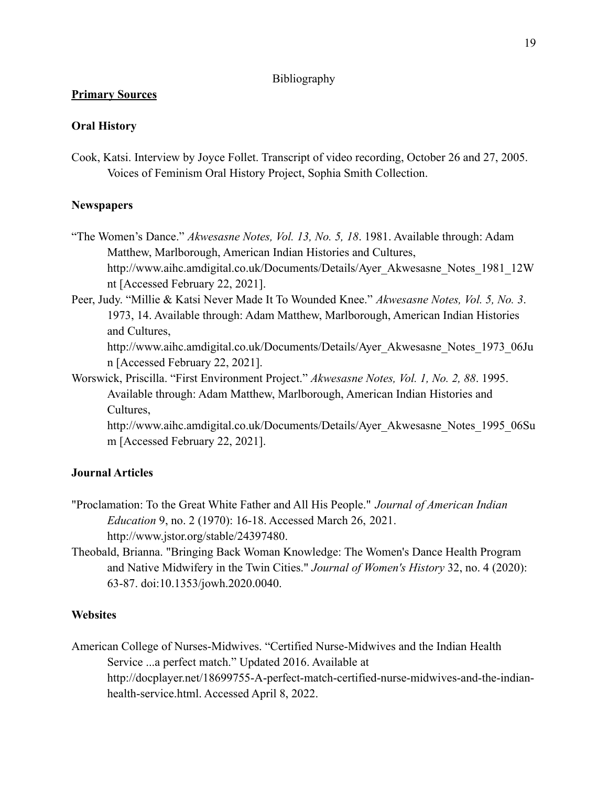### Bibliography

# **Primary Sources**

# **Oral History**

Cook, Katsi. Interview by Joyce Follet. Transcript of video recording, October 26 and 27, 2005. Voices of Feminism Oral History Project, Sophia Smith Collection.

# **Newspapers**

- "The Women's Dance." *Akwesasne Notes, Vol. 13, No. 5, 18*. 1981. Available through: Adam Matthew, Marlborough, American Indian Histories and Cultures, http://www.aihc.amdigital.co.uk/Documents/Details/Ayer\_Akwesasne\_Notes\_1981\_12W nt [Accessed February 22, 2021].
- Peer, Judy. "Millie & Katsi Never Made It To Wounded Knee." *Akwesasne Notes, Vol. 5, No. 3*. 1973, 14. Available through: Adam Matthew, Marlborough, American Indian Histories and Cultures,

http://www.aihc.amdigital.co.uk/Documents/Details/Ayer\_Akwesasne\_Notes\_1973\_06Ju n [Accessed February 22, 2021].

Worswick, Priscilla. "First Environment Project." *Akwesasne Notes, Vol. 1, No. 2, 88*. 1995. Available through: Adam Matthew, Marlborough, American Indian Histories and Cultures,

http://www.aihc.amdigital.co.uk/Documents/Details/Ayer\_Akwesasne\_Notes\_1995\_06Su m [Accessed February 22, 2021].

# **Journal Articles**

- "Proclamation: To the Great White Father and All His People." *Journal of American Indian Education* 9, no. 2 (1970): 16-18. Accessed March 26, 2021. [http://www.jstor.org/stable/24397480.](http://www.jstor.org/stable/24397480)
- Theobald, Brianna. "Bringing Back Woman Knowledge: The Women's Dance Health Program and Native Midwifery in the Twin Cities." *Journal of Women's History* 32, no. 4 (2020): 63-87. [doi:10.1353/jowh.2020.0040.](http://doi.org/10.1353/jowh.2020.0040)

## **Websites**

American College of Nurses-Midwives. "Certified Nurse-Midwives and the Indian Health Service ...a perfect match." Updated 2016. Available at http://docplayer.net/18699755-A-perfect-match-certified-nurse-midwives-and-the-indianhealth-service.html. Accessed April 8, 2022.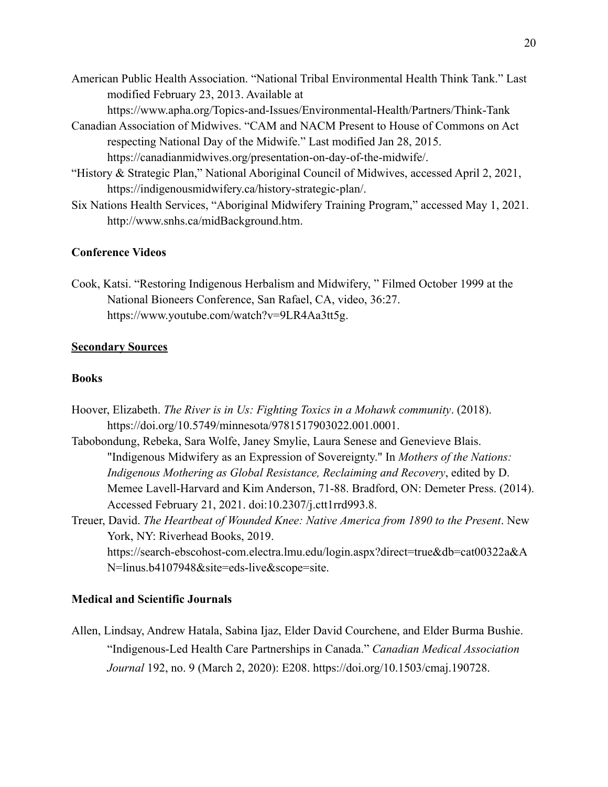- American Public Health Association. "National Tribal Environmental Health Think Tank." Last modified February 23, 2013. Available at
	- https://www.apha.org/Topics-and-Issues/Environmental-Health/Partners/Think-Tank
- Canadian Association of Midwives. "CAM and NACM Present to House of Commons on Act respecting National Day of the Midwife." Last modified Jan 28, 2015. https://canadianmidwives.org/presentation-on-day-of-the-midwife/.
- "History & Strategic Plan," National Aboriginal Council of Midwives, accessed April 2, 2021, <https://indigenousmidwifery.ca/history-strategic-plan/>.
- Six Nations Health Services, "Aboriginal Midwifery Training Program," accessed May 1, 2021. <http://www.snhs.ca/midBackground.htm>.

### **Conference Videos**

Cook, Katsi. "Restoring Indigenous Herbalism and Midwifery, " Filmed October 1999 at the National Bioneers Conference, San Rafael, CA, video, 36:27. [https://www.youtube.com/watch?v=9LR4Aa3tt5g.](https://www.youtube.com/watch?v=9LR4Aa3tt5g)

#### **Secondary Sources**

#### **Books**

- Hoover, Elizabeth. *The River is in Us: Fighting Toxics in a Mohawk community*. (2018). https://doi.org/10.5749/minnesota/9781517903022.001.0001.
- Tabobondung, Rebeka, Sara Wolfe, Janey Smylie, Laura Senese and Genevieve Blais. "Indigenous Midwifery as an Expression of Sovereignty." In *Mothers of the Nations: Indigenous Mothering as Global Resistance, Reclaiming and Recovery*, edited by D. Memee Lavell-Harvard and Kim Anderson, 71-88. Bradford, ON: Demeter Press. (2014). Accessed February 21, 2021. doi:10.2307/j.ctt1rrd993.8.
- Treuer, David. *The Heartbeat of Wounded Knee: Native America from 1890 to the Present*. New York, NY: Riverhead Books, 2019. [https://search-ebscohost-com.electra.lmu.edu/login.aspx?direct=true&db=cat00322a&A](https://search-ebscohost-com.electra.lmu.edu/login.aspx?direct=true&db=cat00322a&AN=linus.b4107948&site=eds-live&scope=site) [N=linus.b4107948&site=eds-live&scope=site.](https://search-ebscohost-com.electra.lmu.edu/login.aspx?direct=true&db=cat00322a&AN=linus.b4107948&site=eds-live&scope=site)

#### **Medical and Scientific Journals**

Allen, Lindsay, Andrew Hatala, Sabina Ijaz, Elder David Courchene, and Elder Burma Bushie. "Indigenous-Led Health Care Partnerships in Canada." *Canadian Medical Association Journal* 192, no. 9 (March 2, 2020): E208. [https://doi.org/10.1503/cmaj.190728.](https://doi.org/10.1503/cmaj.190728)